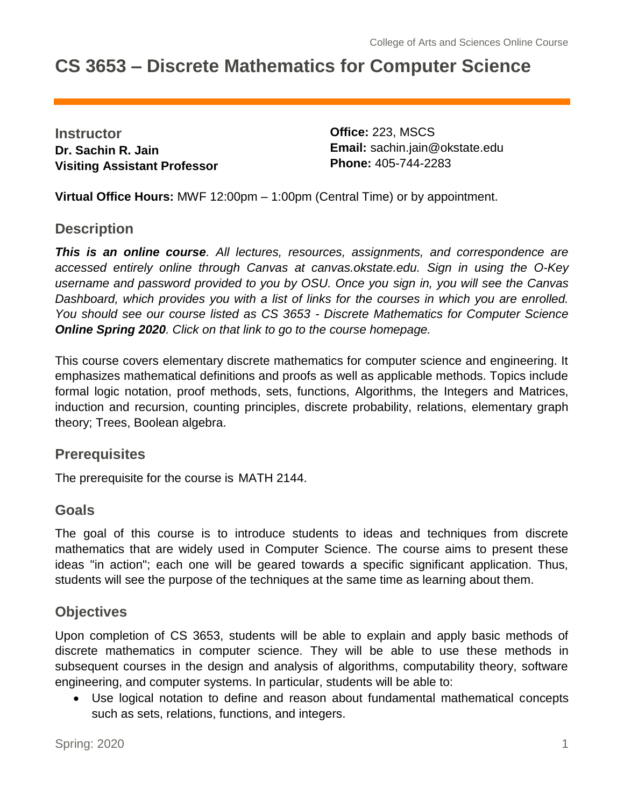# **CS 3653 – Discrete Mathematics for Computer Science**

**Instructor Dr. Sachin R. Jain Visiting Assistant Professor** **Office:** 223, MSCS **Email:** sachin.jain@okstate.edu **Phone:** 405-744-2283

**Virtual Office Hours:** MWF 12:00pm – 1:00pm (Central Time) or by appointment.

### **Description**

*This is an online course. All lectures, resources, assignments, and correspondence are accessed entirely online through Canvas at canvas.okstate.edu. Sign in using the O-Key username and password provided to you by OSU. Once you sign in, you will see the Canvas Dashboard, which provides you with a list of links for the courses in which you are enrolled. You should see our course listed as CS 3653 - Discrete Mathematics for Computer Science Online Spring 2020. Click on that link to go to the course homepage.*

This course covers elementary discrete mathematics for computer science and engineering. It emphasizes mathematical definitions and proofs as well as applicable methods. Topics include formal logic notation, proof methods, sets, functions, Algorithms, the Integers and Matrices, induction and recursion, counting principles, discrete probability, relations, elementary graph theory; Trees, Boolean algebra.

### **Prerequisites**

The prerequisite for the course is MATH 2144.

### **Goals**

The goal of this course is to introduce students to ideas and techniques from discrete mathematics that are widely used in Computer Science. The course aims to present these ideas "in action"; each one will be geared towards a specific significant application. Thus, students will see the purpose of the techniques at the same time as learning about them.

### **Objectives**

Upon completion of CS 3653, students will be able to explain and apply basic methods of discrete mathematics in computer science. They will be able to use these methods in subsequent courses in the design and analysis of algorithms, computability theory, software engineering, and computer systems. In particular, students will be able to:

• Use logical notation to define and reason about fundamental mathematical concepts such as sets, relations, functions, and integers.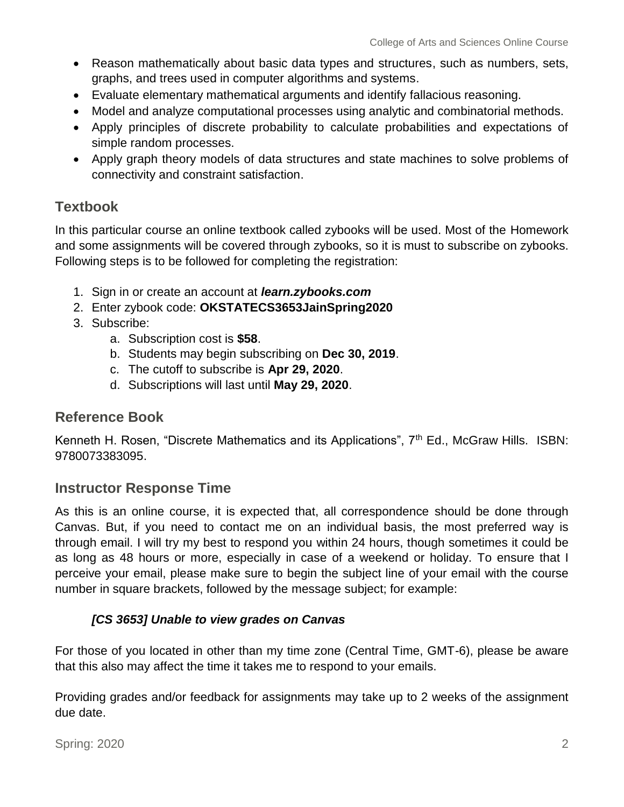- Reason mathematically about basic data types and structures, such as numbers, sets, graphs, and trees used in computer algorithms and systems.
- Evaluate elementary mathematical arguments and identify fallacious reasoning.
- Model and analyze computational processes using analytic and combinatorial methods.
- Apply principles of discrete probability to calculate probabilities and expectations of simple random processes.
- Apply graph theory models of data structures and state machines to solve problems of connectivity and constraint satisfaction.

### **Textbook**

In this particular course an online textbook called zybooks will be used. Most of the Homework and some assignments will be covered through zybooks, so it is must to subscribe on zybooks. Following steps is to be followed for completing the registration:

- 1. Sign in or create an account at *learn.zybooks.com*
- 2. Enter zybook code: **OKSTATECS3653JainSpring2020**
- 3. Subscribe:
	- a. Subscription cost is **\$58**.
	- b. Students may begin subscribing on **Dec 30, 2019**.
	- c. The cutoff to subscribe is **Apr 29, 2020**.
	- d. Subscriptions will last until **May 29, 2020**.

### **Reference Book**

Kenneth H. Rosen, "Discrete Mathematics and its Applications",  $7<sup>th</sup>$  Ed., McGraw Hills. ISBN: 9780073383095.

### **Instructor Response Time**

As this is an online course, it is expected that, all correspondence should be done through Canvas. But, if you need to contact me on an individual basis, the most preferred way is through email. I will try my best to respond you within 24 hours, though sometimes it could be as long as 48 hours or more, especially in case of a weekend or holiday. To ensure that I perceive your email, please make sure to begin the subject line of your email with the course number in square brackets, followed by the message subject; for example:

#### *[CS 3653] Unable to view grades on Canvas*

For those of you located in other than my time zone (Central Time, GMT-6), please be aware that this also may affect the time it takes me to respond to your emails.

Providing grades and/or feedback for assignments may take up to 2 weeks of the assignment due date.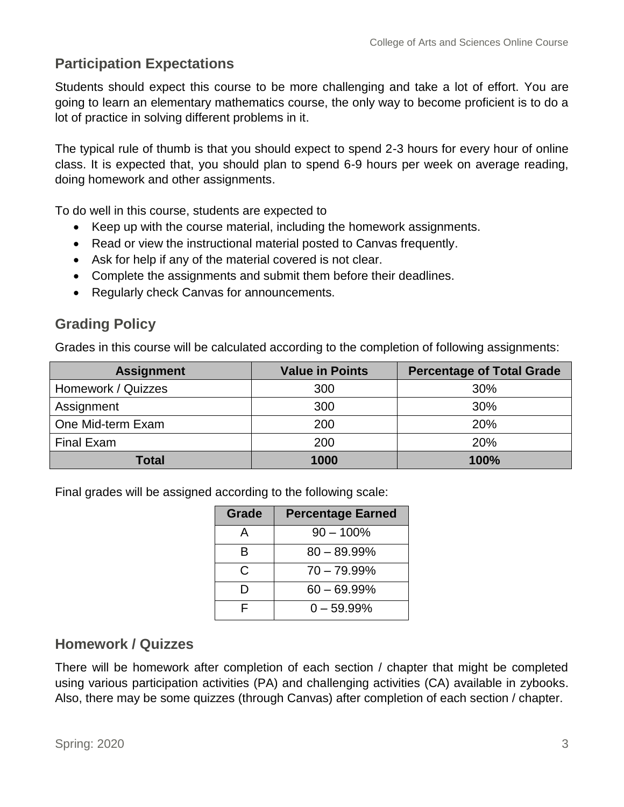### **Participation Expectations**

Students should expect this course to be more challenging and take a lot of effort. You are going to learn an elementary mathematics course, the only way to become proficient is to do a lot of practice in solving different problems in it.

The typical rule of thumb is that you should expect to spend 2-3 hours for every hour of online class. It is expected that, you should plan to spend 6-9 hours per week on average reading, doing homework and other assignments.

To do well in this course, students are expected to

- Keep up with the course material, including the homework assignments.
- Read or view the instructional material posted to Canvas frequently.
- Ask for help if any of the material covered is not clear.
- Complete the assignments and submit them before their deadlines.
- Regularly check Canvas for announcements.

### **Grading Policy**

Grades in this course will be calculated according to the completion of following assignments:

| <b>Assignment</b>  | <b>Value in Points</b> | <b>Percentage of Total Grade</b> |
|--------------------|------------------------|----------------------------------|
| Homework / Quizzes | 300                    | 30%                              |
| Assignment         | 300                    | 30%                              |
| One Mid-term Exam  | 200                    | 20%                              |
| <b>Final Exam</b>  | 200                    | 20%                              |
| Total              | 1000                   | 100%                             |

Final grades will be assigned according to the following scale:

| Grade | <b>Percentage Earned</b> |  |  |
|-------|--------------------------|--|--|
| А     | $90 - 100\%$             |  |  |
| R     | $80 - 89.99\%$           |  |  |
| C     | $70 - 79.99\%$           |  |  |
| וו    | $60 - 69.99\%$           |  |  |
| ⊏     | $0 - 59.99\%$            |  |  |

### **Homework / Quizzes**

There will be homework after completion of each section / chapter that might be completed using various participation activities (PA) and challenging activities (CA) available in zybooks. Also, there may be some quizzes (through Canvas) after completion of each section / chapter.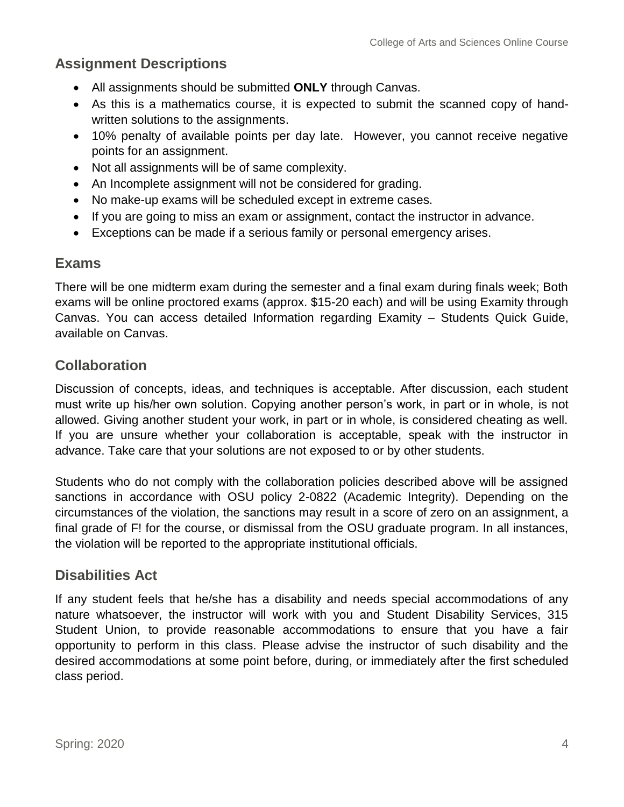### **Assignment Descriptions**

- All assignments should be submitted **ONLY** through Canvas.
- As this is a mathematics course, it is expected to submit the scanned copy of handwritten solutions to the assignments.
- 10% penalty of available points per day late. However, you cannot receive negative points for an assignment.
- Not all assignments will be of same complexity.
- An Incomplete assignment will not be considered for grading.
- No make-up exams will be scheduled except in extreme cases.
- If you are going to miss an exam or assignment, contact the instructor in advance.
- Exceptions can be made if a serious family or personal emergency arises.

### **Exams**

There will be one midterm exam during the semester and a final exam during finals week; Both exams will be online proctored exams (approx. \$15-20 each) and will be using Examity through Canvas. You can access detailed Information regarding Examity – Students Quick Guide, available on Canvas.

### **Collaboration**

Discussion of concepts, ideas, and techniques is acceptable. After discussion, each student must write up his/her own solution. Copying another person's work, in part or in whole, is not allowed. Giving another student your work, in part or in whole, is considered cheating as well. If you are unsure whether your collaboration is acceptable, speak with the instructor in advance. Take care that your solutions are not exposed to or by other students.

Students who do not comply with the collaboration policies described above will be assigned sanctions in accordance with OSU policy 2-0822 (Academic Integrity). Depending on the circumstances of the violation, the sanctions may result in a score of zero on an assignment, a final grade of F! for the course, or dismissal from the OSU graduate program. In all instances, the violation will be reported to the appropriate institutional officials.

### **Disabilities Act**

If any student feels that he/she has a disability and needs special accommodations of any nature whatsoever, the instructor will work with you and Student Disability Services, 315 Student Union, to provide reasonable accommodations to ensure that you have a fair opportunity to perform in this class. Please advise the instructor of such disability and the desired accommodations at some point before, during, or immediately after the first scheduled class period.